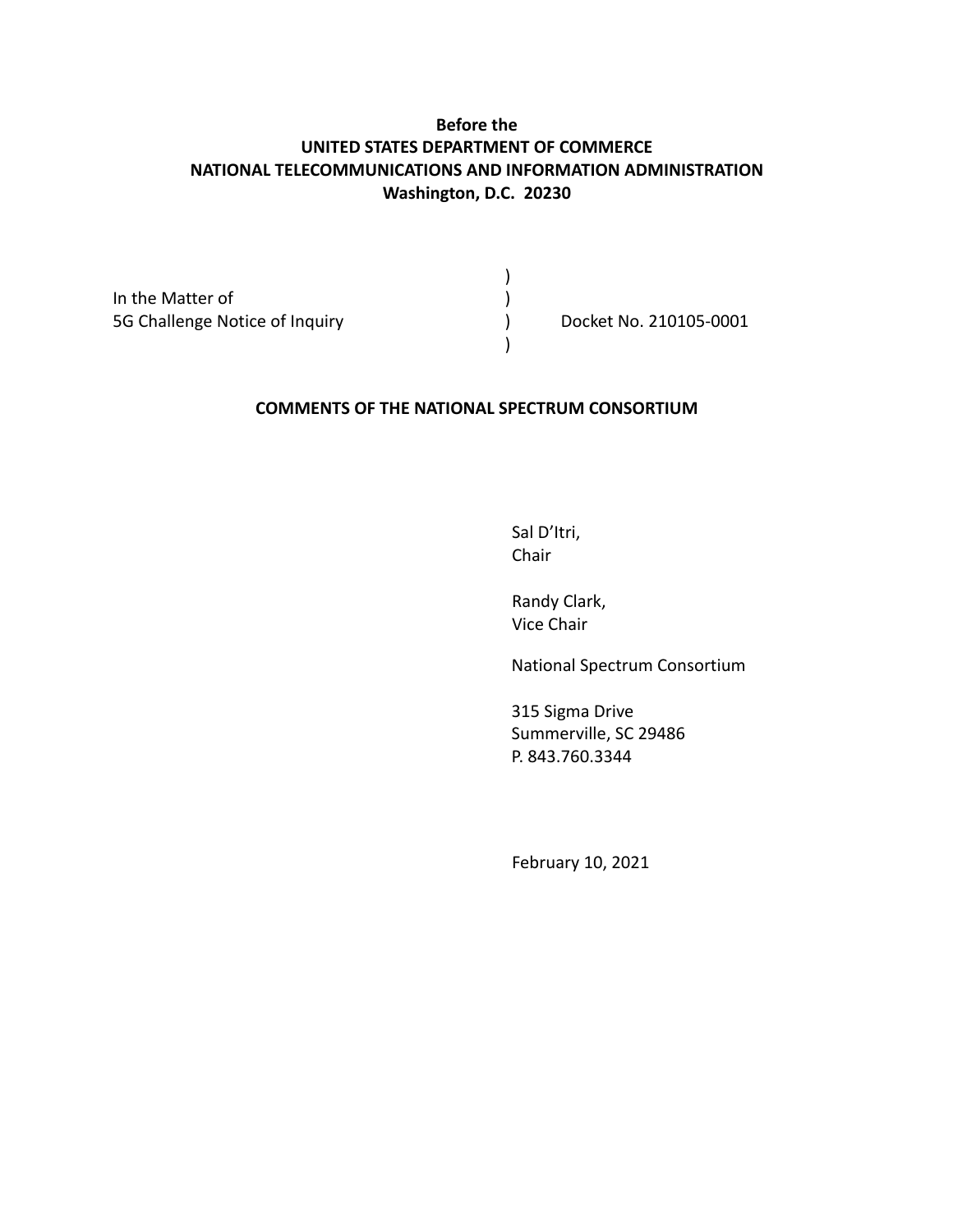# **Before the UNITED STATES DEPARTMENT OF COMMERCE NATIONAL TELECOMMUNICATIONS AND INFORMATION ADMINISTRATION Washington, D.C. 20230**

)

)

In the Matter of  $\qquad \qquad$  ) 5G Challenge Notice of Inquiry ) Docket No. 210105-0001

#### **COMMENTS OF THE NATIONAL SPECTRUM CONSORTIUM**

Sal D'Itri, Chair

Randy Clark, Vice Chair

National Spectrum Consortium

315 Sigma Drive Summerville, SC 29486 P. 843.760.3344

February 10, 2021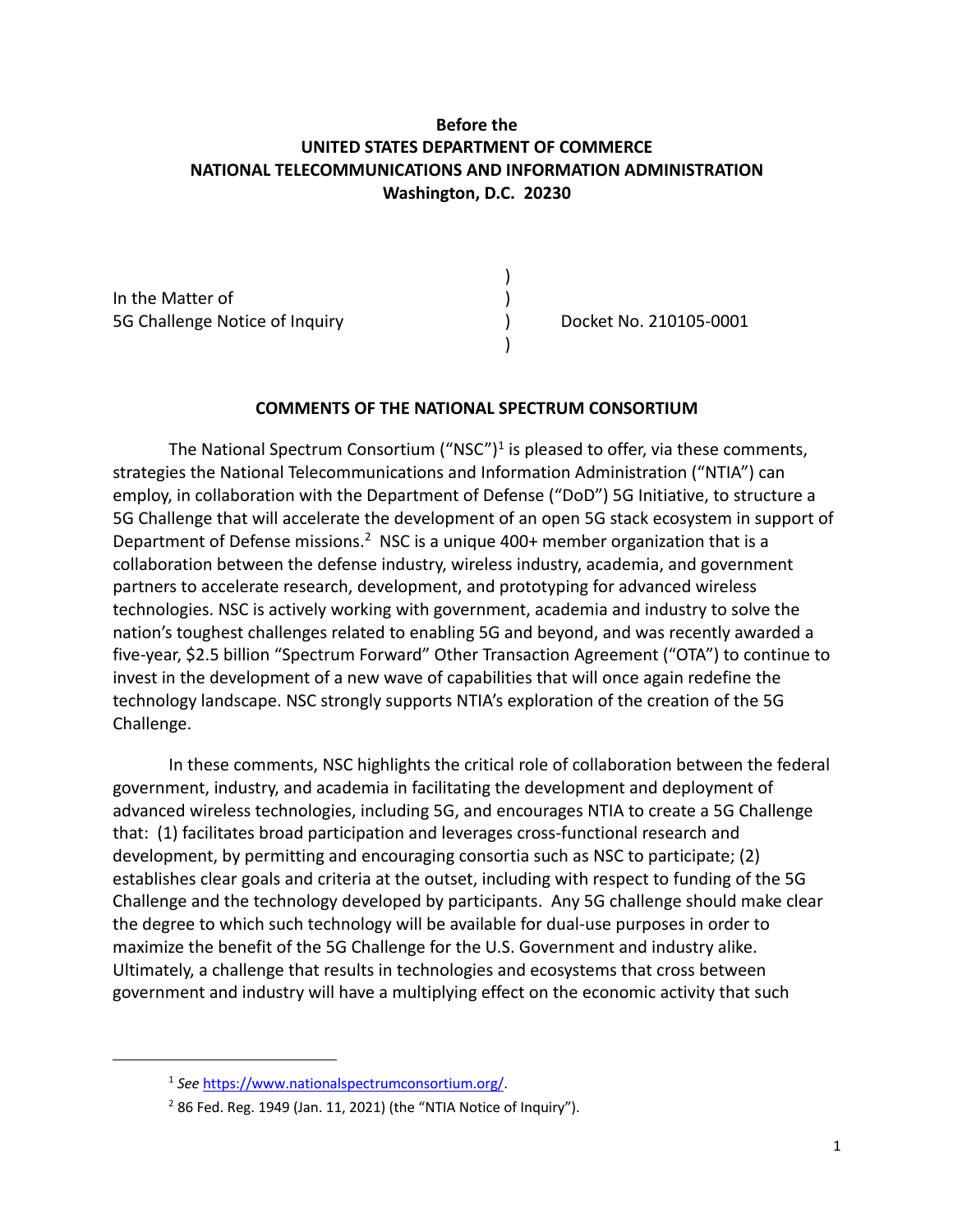# **Before the UNITED STATES DEPARTMENT OF COMMERCE NATIONAL TELECOMMUNICATIONS AND INFORMATION ADMINISTRATION Washington, D.C. 20230**

)

 $\lambda$ 

In the Matter of  $\qquad \qquad$  ) 5G Challenge Notice of Inquiry ) Docket No. 210105-0001

#### **COMMENTS OF THE NATIONAL SPECTRUM CONSORTIUM**

The National Spectrum Consortium ("NSC")<sup>1</sup> is pleased to offer, via these comments, strategies the National Telecommunications and Information Administration ("NTIA") can employ, in collaboration with the Department of Defense ("DoD") 5G Initiative, to structure a 5G Challenge that will accelerate the development of an open 5G stack ecosystem in support of Department of Defense missions.<sup>2</sup> NSC is a unique 400+ member organization that is a collaboration between the defense industry, wireless industry, academia, and government partners to accelerate research, development, and prototyping for advanced wireless technologies. NSC is actively working with government, academia and industry to solve the nation's toughest challenges related to enabling 5G and beyond, and was recently awarded a five-year, \$2.5 billion "Spectrum Forward" Other Transaction Agreement ("OTA") to continue to invest in the development of a new wave of capabilities that will once again redefine the technology landscape. NSC strongly supports NTIA's exploration of the creation of the 5G Challenge.

In these comments, NSC highlights the critical role of collaboration between the federal government, industry, and academia in facilitating the development and deployment of advanced wireless technologies, including 5G, and encourages NTIA to create a 5G Challenge that: (1) facilitates broad participation and leverages cross-functional research and development, by permitting and encouraging consortia such as NSC to participate; (2) establishes clear goals and criteria at the outset, including with respect to funding of the 5G Challenge and the technology developed by participants. Any 5G challenge should make clear the degree to which such technology will be available for dual-use purposes in order to maximize the benefit of the 5G Challenge for the U.S. Government and industry alike. Ultimately, a challenge that results in technologies and ecosystems that cross between government and industry will have a multiplying effect on the economic activity that such

<sup>1</sup> *See* https://www.nationalspectrumconsortium.org/.

 $2$  86 Fed. Reg. 1949 (Jan. 11, 2021) (the "NTIA Notice of Inquiry").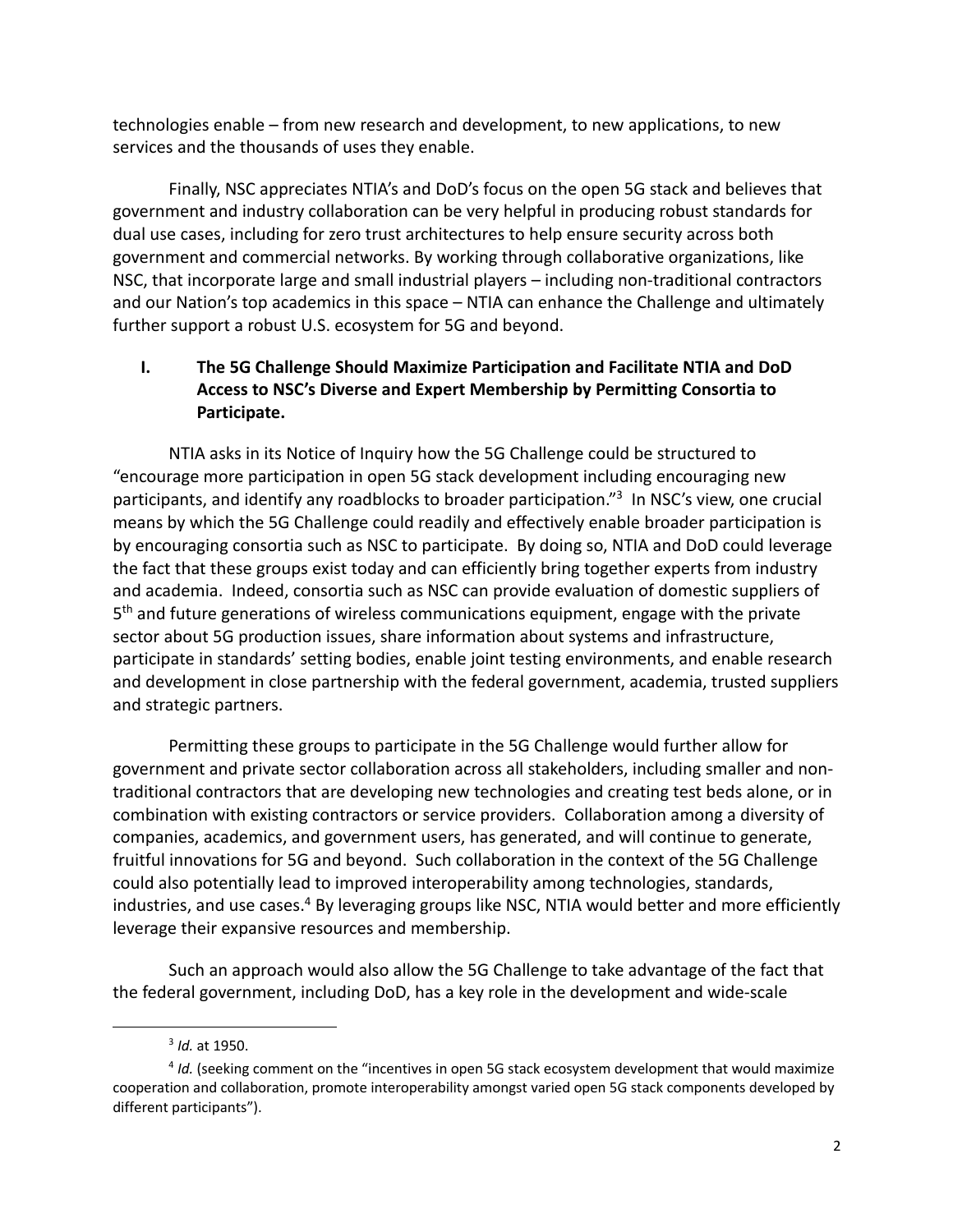technologies enable – from new research and development, to new applications, to new services and the thousands of uses they enable.

Finally, NSC appreciates NTIA's and DoD's focus on the open 5G stack and believes that government and industry collaboration can be very helpful in producing robust standards for dual use cases, including for zero trust architectures to help ensure security across both government and commercial networks. By working through collaborative organizations, like NSC, that incorporate large and small industrial players – including non-traditional contractors and our Nation's top academics in this space – NTIA can enhance the Challenge and ultimately further support a robust U.S. ecosystem for 5G and beyond.

# **I. The 5G Challenge Should Maximize Participation and Facilitate NTIA and DoD Access to NSC's Diverse and Expert Membership by Permitting Consortia to Participate.**

NTIA asks in its Notice of Inquiry how the 5G Challenge could be structured to "encourage more participation in open 5G stack development including encouraging new participants, and identify any roadblocks to broader participation."<sup>3</sup> In NSC's view, one crucial means by which the 5G Challenge could readily and effectively enable broader participation is by encouraging consortia such as NSC to participate. By doing so, NTIA and DoD could leverage the fact that these groups exist today and can efficiently bring together experts from industry and academia. Indeed, consortia such as NSC can provide evaluation of domestic suppliers of 5<sup>th</sup> and future generations of wireless communications equipment, engage with the private sector about 5G production issues, share information about systems and infrastructure, participate in standards' setting bodies, enable joint testing environments, and enable research and development in close partnership with the federal government, academia, trusted suppliers and strategic partners.

Permitting these groups to participate in the 5G Challenge would further allow for government and private sector collaboration across all stakeholders, including smaller and nontraditional contractors that are developing new technologies and creating test beds alone, or in combination with existing contractors or service providers. Collaboration among a diversity of companies, academics, and government users, has generated, and will continue to generate, fruitful innovations for 5G and beyond. Such collaboration in the context of the 5G Challenge could also potentially lead to improved interoperability among technologies, standards, industries, and use cases. $4$  By leveraging groups like NSC, NTIA would better and more efficiently leverage their expansive resources and membership.

Such an approach would also allow the 5G Challenge to take advantage of the fact that the federal government, including DoD, has a key role in the development and wide-scale

<sup>3</sup> *Id.* at 1950.

<sup>4</sup> *Id.* (seeking comment on the "incentives in open 5G stack ecosystem development that would maximize cooperation and collaboration, promote interoperability amongst varied open 5G stack components developed by different participants").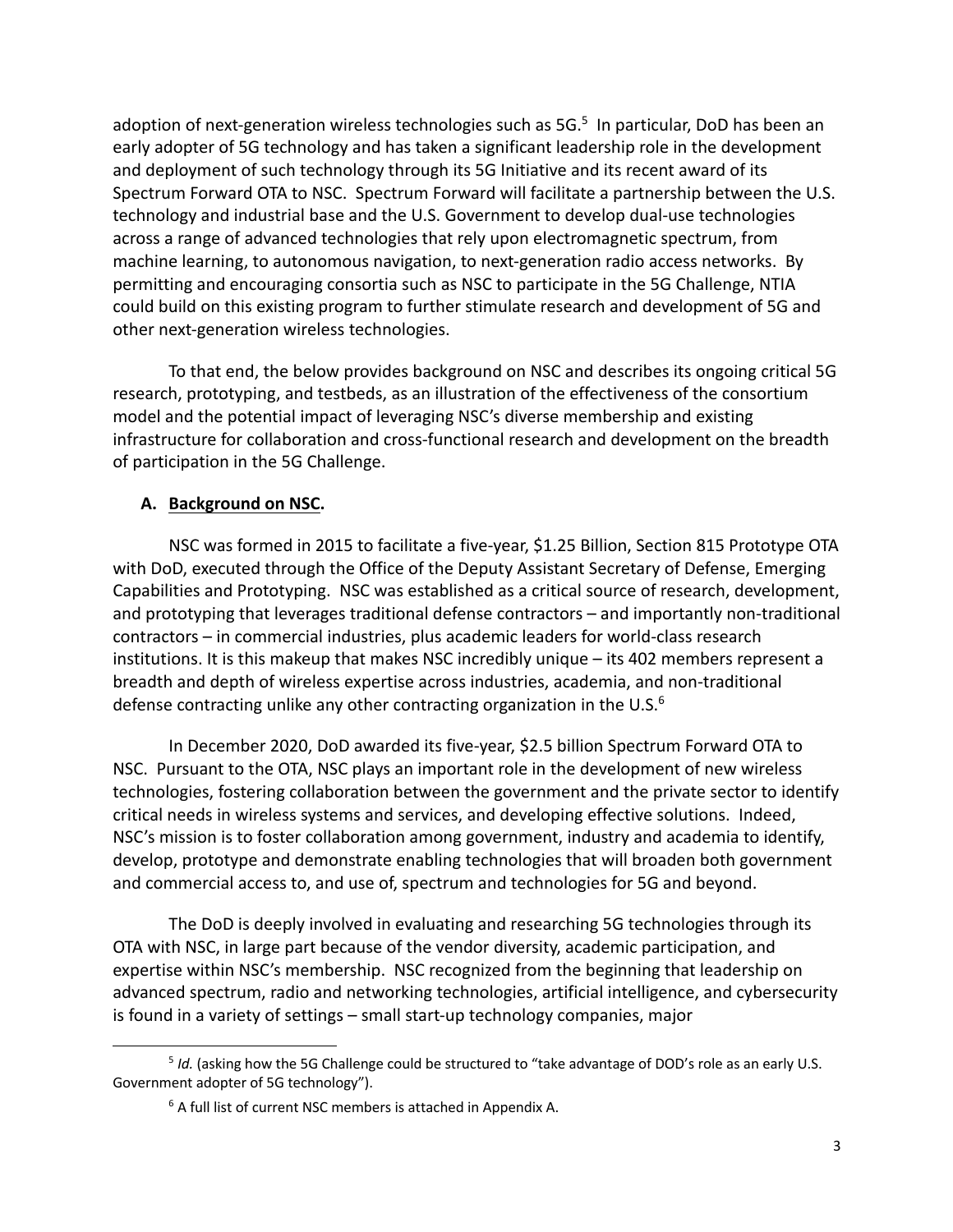adoption of next-generation wireless technologies such as 5G.<sup>5</sup> In particular, DoD has been an early adopter of 5G technology and has taken a significant leadership role in the development and deployment of such technology through its 5G Initiative and its recent award of its Spectrum Forward OTA to NSC. Spectrum Forward will facilitate a partnership between the U.S. technology and industrial base and the U.S. Government to develop dual-use technologies across a range of advanced technologies that rely upon electromagnetic spectrum, from machine learning, to autonomous navigation, to next-generation radio access networks. By permitting and encouraging consortia such as NSC to participate in the 5G Challenge, NTIA could build on this existing program to further stimulate research and development of 5G and other next-generation wireless technologies.

To that end, the below provides background on NSC and describes its ongoing critical 5G research, prototyping, and testbeds, as an illustration of the effectiveness of the consortium model and the potential impact of leveraging NSC's diverse membership and existing infrastructure for collaboration and cross-functional research and development on the breadth of participation in the 5G Challenge.

### **A. Background on NSC.**

NSC was formed in 2015 to facilitate a five-year, \$1.25 Billion, Section 815 Prototype OTA with DoD, executed through the Office of the Deputy Assistant Secretary of Defense, Emerging Capabilities and Prototyping. NSC was established as a critical source of research, development, and prototyping that leverages traditional defense contractors – and importantly non-traditional contractors – in commercial industries, plus academic leaders for world-class research institutions. It is this makeup that makes NSC incredibly unique – its 402 members represent a breadth and depth of wireless expertise across industries, academia, and non-traditional defense contracting unlike any other contracting organization in the U.S. $<sup>6</sup>$ </sup>

In December 2020, DoD awarded its five-year, \$2.5 billion Spectrum Forward OTA to NSC. Pursuant to the OTA, NSC plays an important role in the development of new wireless technologies, fostering collaboration between the government and the private sector to identify critical needs in wireless systems and services, and developing effective solutions. Indeed, NSC's mission is to foster collaboration among government, industry and academia to identify, develop, prototype and demonstrate enabling technologies that will broaden both government and commercial access to, and use of, spectrum and technologies for 5G and beyond.

The DoD is deeply involved in evaluating and researching 5G technologies through its OTA with NSC, in large part because of the vendor diversity, academic participation, and expertise within NSC's membership. NSC recognized from the beginning that leadership on advanced spectrum, radio and networking technologies, artificial intelligence, and cybersecurity is found in a variety of settings – small start-up technology companies, major

<sup>5</sup> *Id.* (asking how the 5G Challenge could be structured to "take advantage of DOD's role as an early U.S. Government adopter of 5G technology").

<sup>&</sup>lt;sup>6</sup> A full list of current NSC members is attached in Appendix A.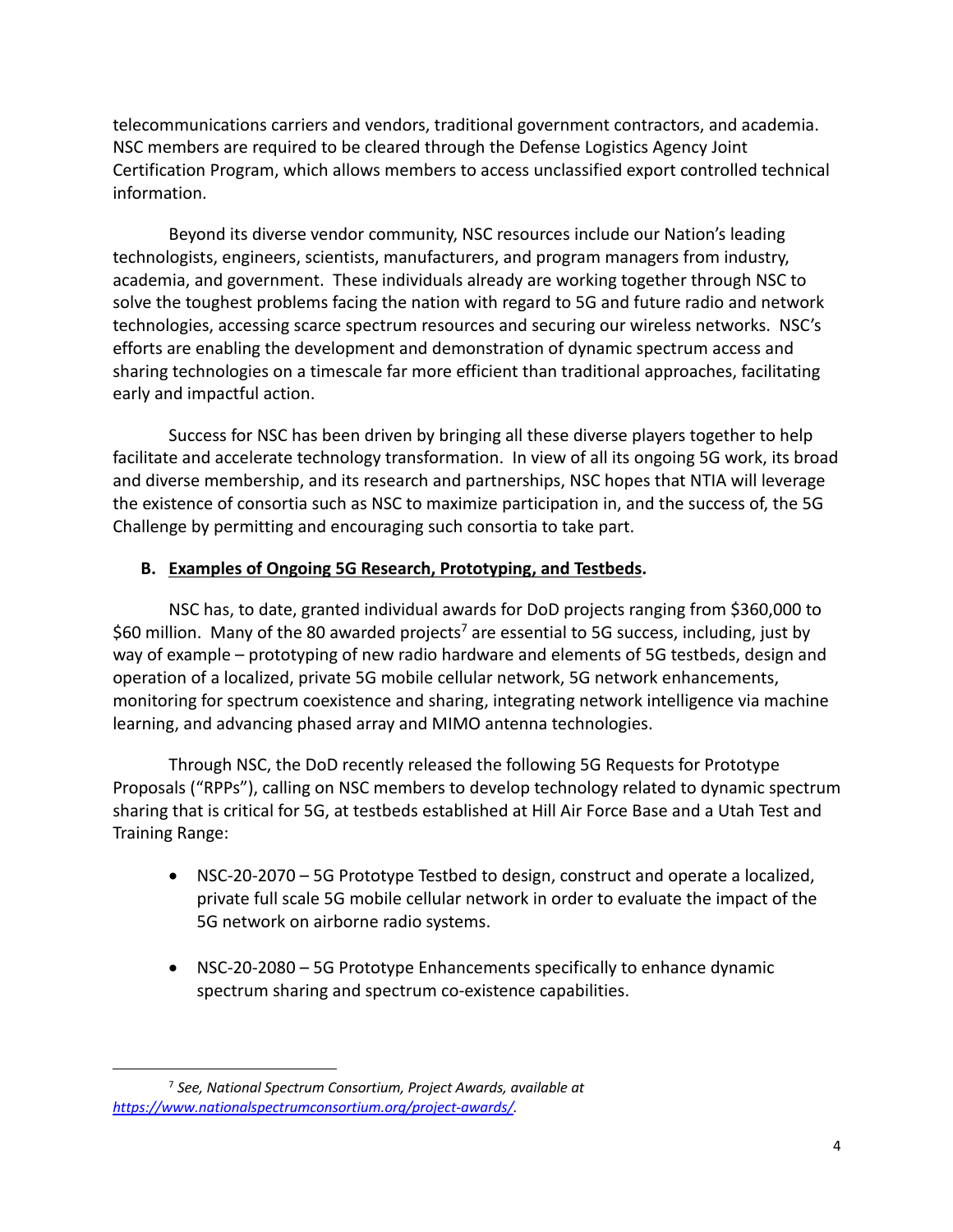telecommunications carriers and vendors, traditional government contractors, and academia. NSC members are required to be cleared through the Defense Logistics Agency Joint Certification Program, which allows members to access unclassified export controlled technical information.

Beyond its diverse vendor community, NSC resources include our Nation's leading technologists, engineers, scientists, manufacturers, and program managers from industry, academia, and government. These individuals already are working together through NSC to solve the toughest problems facing the nation with regard to 5G and future radio and network technologies, accessing scarce spectrum resources and securing our wireless networks. NSC's efforts are enabling the development and demonstration of dynamic spectrum access and sharing technologies on a timescale far more efficient than traditional approaches, facilitating early and impactful action.

Success for NSC has been driven by bringing all these diverse players together to help facilitate and accelerate technology transformation. In view of all its ongoing 5G work, its broad and diverse membership, and its research and partnerships, NSC hopes that NTIA will leverage the existence of consortia such as NSC to maximize participation in, and the success of, the 5G Challenge by permitting and encouraging such consortia to take part.

### **B. Examples of Ongoing 5G Research, Prototyping, and Testbeds.**

NSC has, to date, granted individual awards for DoD projects ranging from \$360,000 to \$60 million. Many of the 80 awarded projects<sup>7</sup> are essential to 5G success, including, just by way of example – prototyping of new radio hardware and elements of 5G testbeds, design and operation of a localized, private 5G mobile cellular network, 5G network enhancements, monitoring for spectrum coexistence and sharing, integrating network intelligence via machine learning, and advancing phased array and MIMO antenna technologies.

Through NSC, the DoD recently released the following 5G Requests for Prototype Proposals ("RPPs"), calling on NSC members to develop technology related to dynamic spectrum sharing that is critical for 5G, at testbeds established at Hill Air Force Base and a Utah Test and Training Range:

- NSC-20-2070 5G Prototype Testbed to design, construct and operate a localized, private full scale 5G mobile cellular network in order to evaluate the impact of the 5G network on airborne radio systems.
- NSC-20-2080 5G Prototype Enhancements specifically to enhance dynamic spectrum sharing and spectrum co-existence capabilities.

<sup>7</sup> *See, National Spectrum Consortium, Project Awards, available at https://www.nationalspectrumconsortium.org/project-awards/.*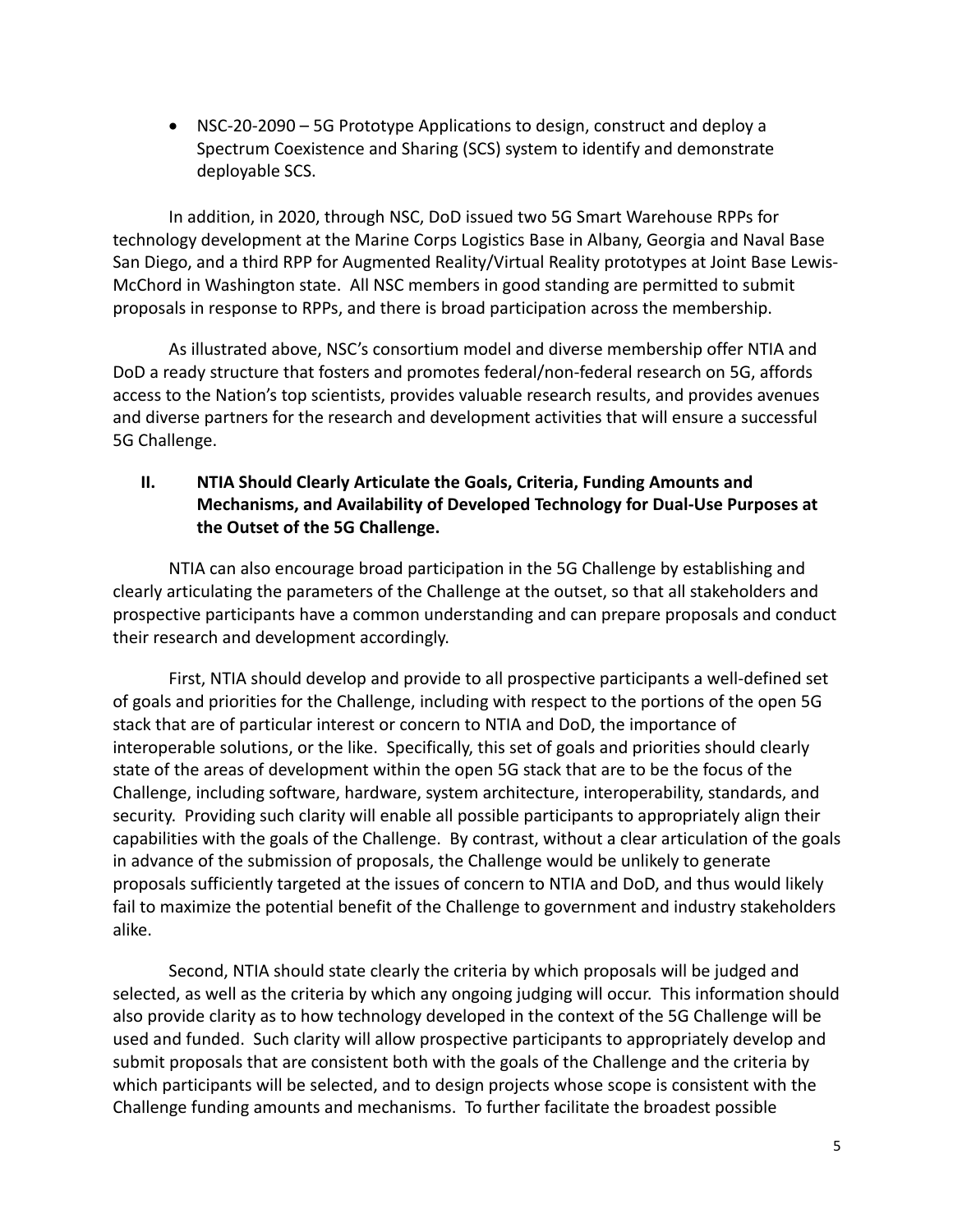• NSC-20-2090 – 5G Prototype Applications to design, construct and deploy a Spectrum Coexistence and Sharing (SCS) system to identify and demonstrate deployable SCS.

In addition, in 2020, through NSC, DoD issued two 5G Smart Warehouse RPPs for technology development at the Marine Corps Logistics Base in Albany, Georgia and Naval Base San Diego, and a third RPP for Augmented Reality/Virtual Reality prototypes at Joint Base Lewis-McChord in Washington state. All NSC members in good standing are permitted to submit proposals in response to RPPs, and there is broad participation across the membership.

As illustrated above, NSC's consortium model and diverse membership offer NTIA and DoD a ready structure that fosters and promotes federal/non-federal research on 5G, affords access to the Nation's top scientists, provides valuable research results, and provides avenues and diverse partners for the research and development activities that will ensure a successful 5G Challenge.

# **II. NTIA Should Clearly Articulate the Goals, Criteria, Funding Amounts and Mechanisms, and Availability of Developed Technology for Dual-Use Purposes at the Outset of the 5G Challenge.**

NTIA can also encourage broad participation in the 5G Challenge by establishing and clearly articulating the parameters of the Challenge at the outset, so that all stakeholders and prospective participants have a common understanding and can prepare proposals and conduct their research and development accordingly.

First, NTIA should develop and provide to all prospective participants a well-defined set of goals and priorities for the Challenge, including with respect to the portions of the open 5G stack that are of particular interest or concern to NTIA and DoD, the importance of interoperable solutions, or the like. Specifically, this set of goals and priorities should clearly state of the areas of development within the open 5G stack that are to be the focus of the Challenge, including software, hardware, system architecture, interoperability, standards, and security. Providing such clarity will enable all possible participants to appropriately align their capabilities with the goals of the Challenge. By contrast, without a clear articulation of the goals in advance of the submission of proposals, the Challenge would be unlikely to generate proposals sufficiently targeted at the issues of concern to NTIA and DoD, and thus would likely fail to maximize the potential benefit of the Challenge to government and industry stakeholders alike.

Second, NTIA should state clearly the criteria by which proposals will be judged and selected, as well as the criteria by which any ongoing judging will occur. This information should also provide clarity as to how technology developed in the context of the 5G Challenge will be used and funded. Such clarity will allow prospective participants to appropriately develop and submit proposals that are consistent both with the goals of the Challenge and the criteria by which participants will be selected, and to design projects whose scope is consistent with the Challenge funding amounts and mechanisms. To further facilitate the broadest possible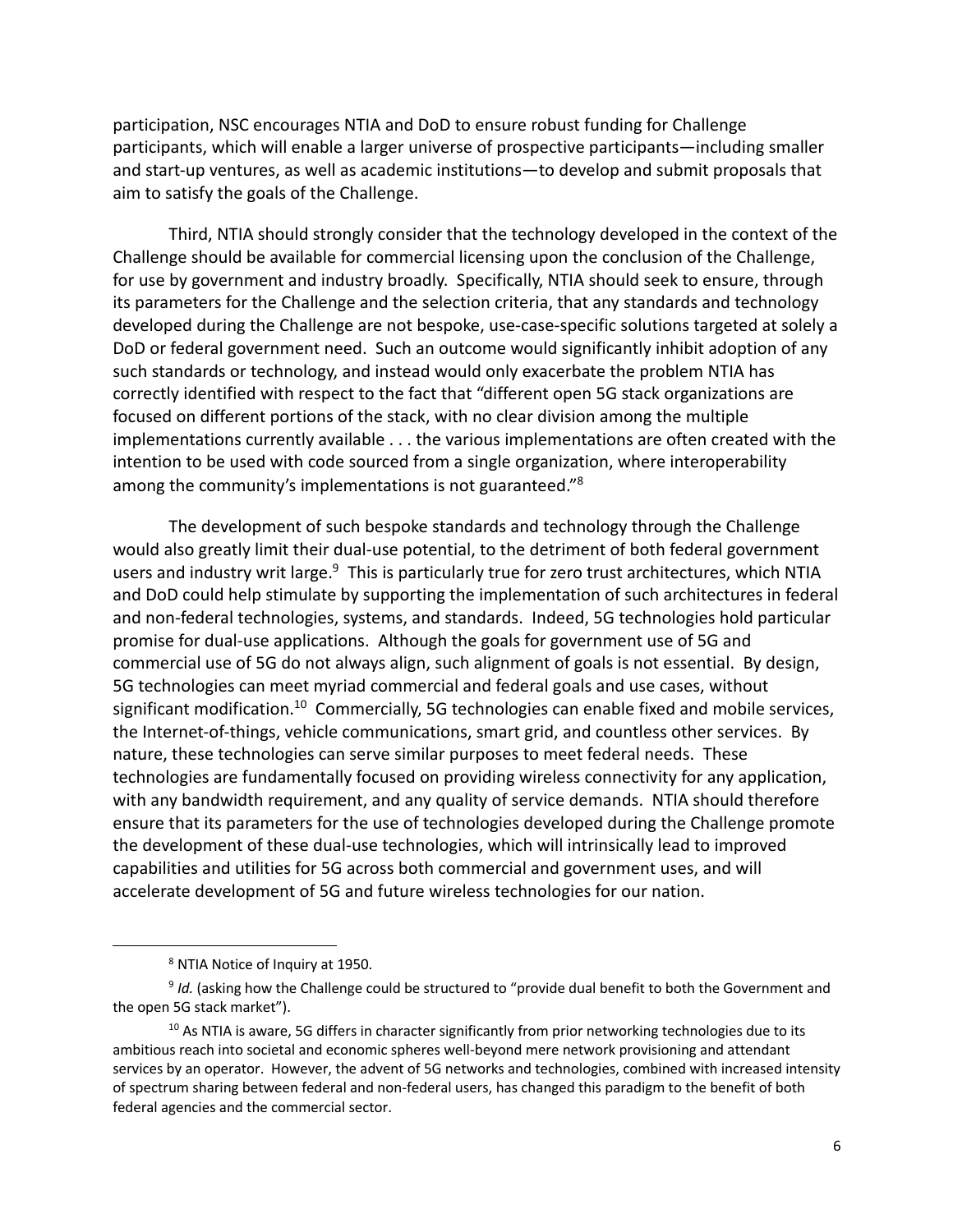participation, NSC encourages NTIA and DoD to ensure robust funding for Challenge participants, which will enable a larger universe of prospective participants—including smaller and start-up ventures, as well as academic institutions—to develop and submit proposals that aim to satisfy the goals of the Challenge.

Third, NTIA should strongly consider that the technology developed in the context of the Challenge should be available for commercial licensing upon the conclusion of the Challenge, for use by government and industry broadly. Specifically, NTIA should seek to ensure, through its parameters for the Challenge and the selection criteria, that any standards and technology developed during the Challenge are not bespoke, use-case-specific solutions targeted at solely a DoD or federal government need. Such an outcome would significantly inhibit adoption of any such standards or technology, and instead would only exacerbate the problem NTIA has correctly identified with respect to the fact that "different open 5G stack organizations are focused on different portions of the stack, with no clear division among the multiple implementations currently available . . . the various implementations are often created with the intention to be used with code sourced from a single organization, where interoperability among the community's implementations is not guaranteed."8

The development of such bespoke standards and technology through the Challenge would also greatly limit their dual-use potential, to the detriment of both federal government users and industry writ large.<sup>9</sup> This is particularly true for zero trust architectures, which NTIA and DoD could help stimulate by supporting the implementation of such architectures in federal and non-federal technologies, systems, and standards. Indeed, 5G technologies hold particular promise for dual-use applications. Although the goals for government use of 5G and commercial use of 5G do not always align, such alignment of goals is not essential. By design, 5G technologies can meet myriad commercial and federal goals and use cases, without significant modification.<sup>10</sup> Commercially, 5G technologies can enable fixed and mobile services, the Internet-of-things, vehicle communications, smart grid, and countless other services. By nature, these technologies can serve similar purposes to meet federal needs. These technologies are fundamentally focused on providing wireless connectivity for any application, with any bandwidth requirement, and any quality of service demands. NTIA should therefore ensure that its parameters for the use of technologies developed during the Challenge promote the development of these dual-use technologies, which will intrinsically lead to improved capabilities and utilities for 5G across both commercial and government uses, and will accelerate development of 5G and future wireless technologies for our nation.

<sup>8</sup> NTIA Notice of Inquiry at 1950.

<sup>&</sup>lt;sup>9</sup> *Id.* (asking how the Challenge could be structured to "provide dual benefit to both the Government and the open 5G stack market").

 $10$  As NTIA is aware, 5G differs in character significantly from prior networking technologies due to its ambitious reach into societal and economic spheres well-beyond mere network provisioning and attendant services by an operator. However, the advent of 5G networks and technologies, combined with increased intensity of spectrum sharing between federal and non-federal users, has changed this paradigm to the benefit of both federal agencies and the commercial sector.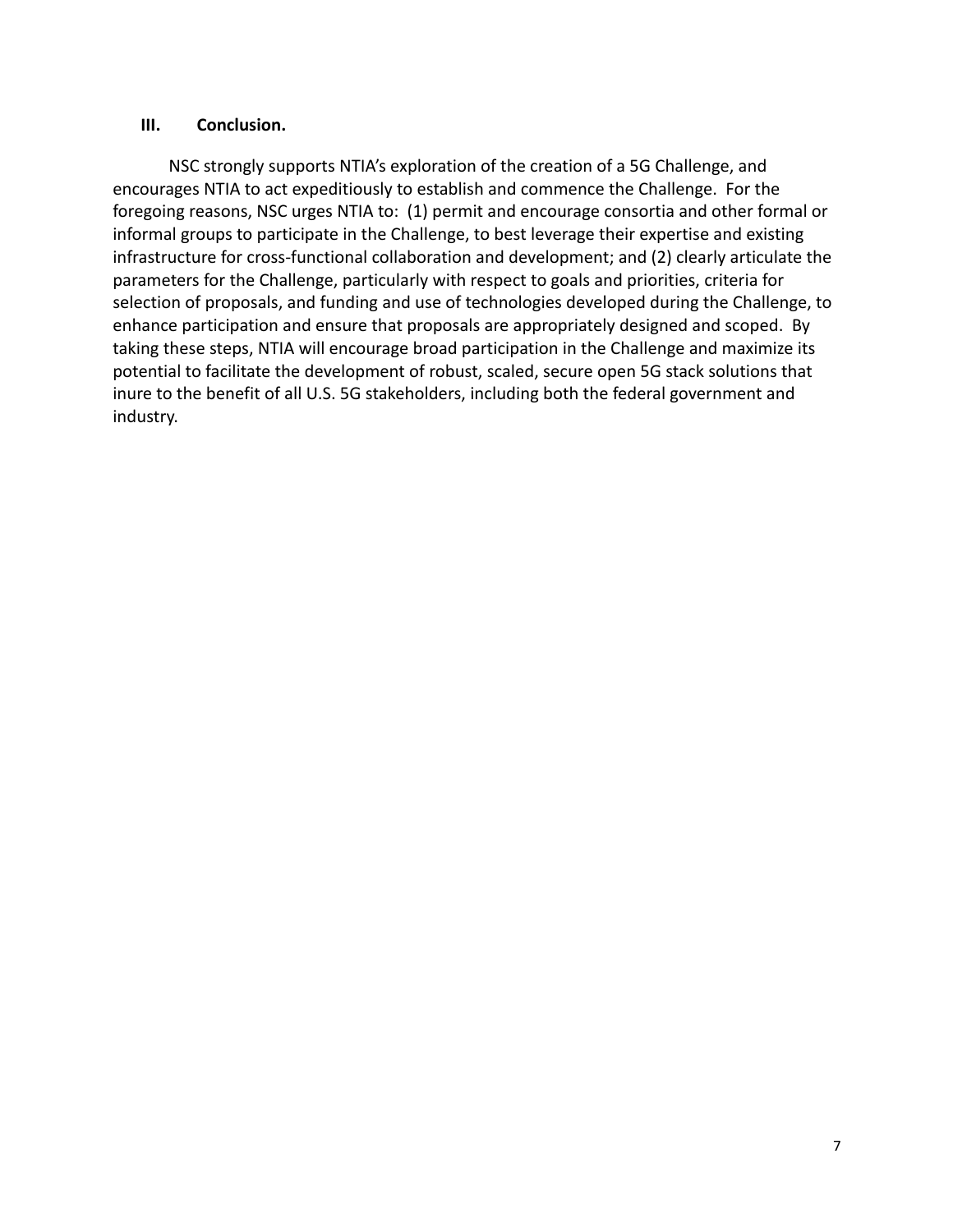#### **III. Conclusion.**

NSC strongly supports NTIA's exploration of the creation of a 5G Challenge, and encourages NTIA to act expeditiously to establish and commence the Challenge. For the foregoing reasons, NSC urges NTIA to: (1) permit and encourage consortia and other formal or informal groups to participate in the Challenge, to best leverage their expertise and existing infrastructure for cross-functional collaboration and development; and (2) clearly articulate the parameters for the Challenge, particularly with respect to goals and priorities, criteria for selection of proposals, and funding and use of technologies developed during the Challenge, to enhance participation and ensure that proposals are appropriately designed and scoped. By taking these steps, NTIA will encourage broad participation in the Challenge and maximize its potential to facilitate the development of robust, scaled, secure open 5G stack solutions that inure to the benefit of all U.S. 5G stakeholders, including both the federal government and industry.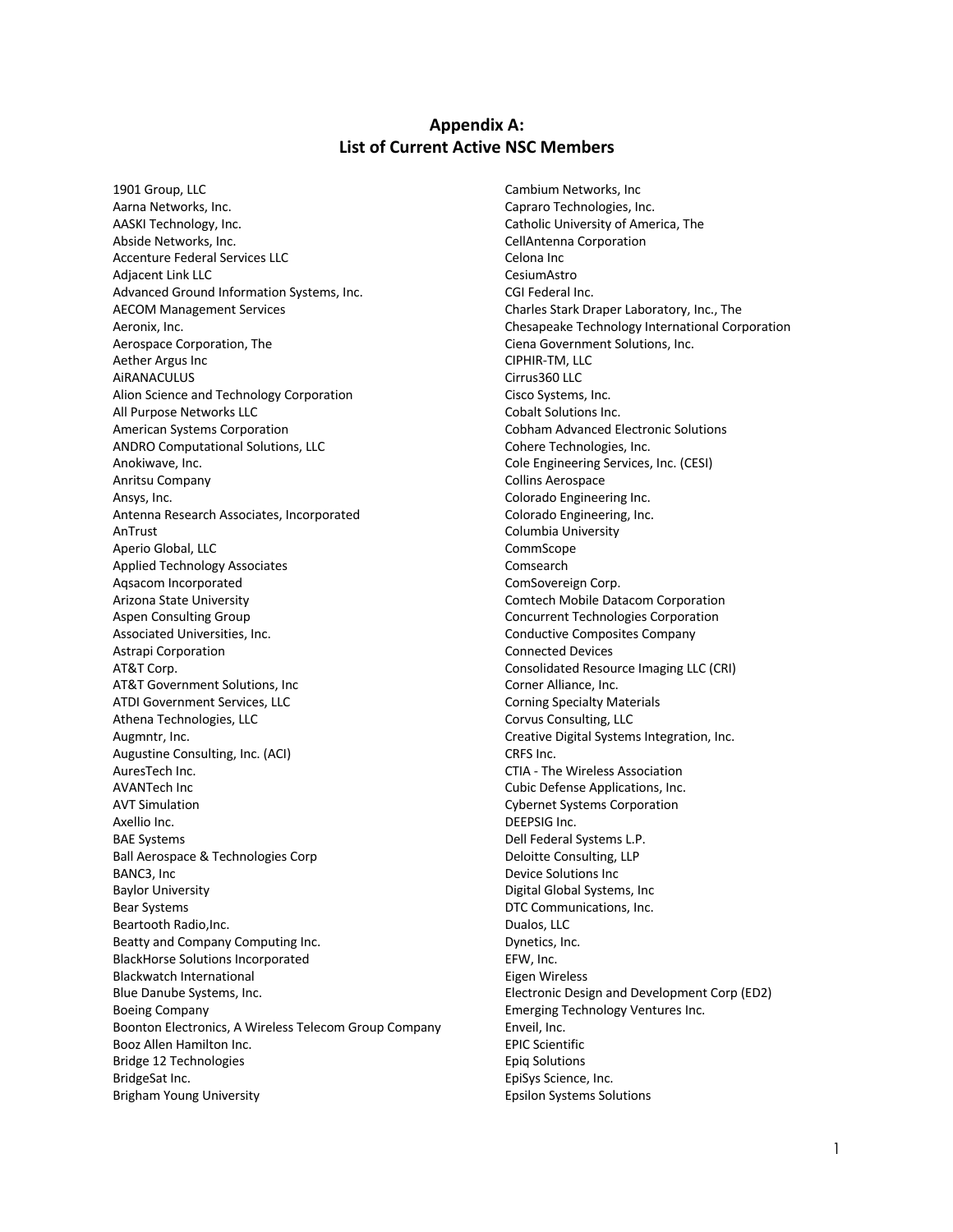#### **Appendix A: List of Current Active NSC Members**

1901 Group, LLC Aarna Networks, Inc. AASKI Technology, Inc. Abside Networks, Inc. Accenture Federal Services LLC Adjacent Link LLC Advanced Ground Information Systems, Inc. AECOM Management Services Aeronix, Inc. Aerospace Corporation, The Aether Argus Inc AiRANACULUS Alion Science and Technology Corporation All Purpose Networks LLC American Systems Corporation ANDRO Computational Solutions, LLC Anokiwave, Inc. Anritsu Company Ansys, Inc. Antenna Research Associates, Incorporated AnTrust Aperio Global, LLC Applied Technology Associates Aqsacom Incorporated Arizona State University Aspen Consulting Group Associated Universities, Inc. Astrapi Corporation AT&T Corp. AT&T Government Solutions, Inc ATDI Government Services, LLC Athena Technologies, LLC Augmntr, Inc. Augustine Consulting, Inc. (ACI) AuresTech Inc. AVANTech Inc AVT Simulation Axellio Inc. BAE Systems Ball Aerospace & Technologies Corp BANC3, Inc Baylor University Bear Systems Beartooth Radio,Inc. Beatty and Company Computing Inc. BlackHorse Solutions Incorporated Blackwatch International Blue Danube Systems, Inc. Boeing Company Boonton Electronics, A Wireless Telecom Group Company Booz Allen Hamilton Inc. Bridge 12 Technologies BridgeSat Inc. Brigham Young University

Cambium Networks, Inc Capraro Technologies, Inc. Catholic University of America, The CellAntenna Corporation Celona Inc CesiumAstro CGI Federal Inc. Charles Stark Draper Laboratory, Inc., The Chesapeake Technology International Corporation Ciena Government Solutions, Inc. CIPHIR-TM, LLC Cirrus360 LLC Cisco Systems, Inc. Cobalt Solutions Inc. Cobham Advanced Electronic Solutions Cohere Technologies, Inc. Cole Engineering Services, Inc. (CESI) Collins Aerospace Colorado Engineering Inc. Colorado Engineering, Inc. Columbia University CommScope Comsearch ComSovereign Corp. Comtech Mobile Datacom Corporation Concurrent Technologies Corporation Conductive Composites Company Connected Devices Consolidated Resource Imaging LLC (CRI) Corner Alliance, Inc. Corning Specialty Materials Corvus Consulting, LLC Creative Digital Systems Integration, Inc. CRFS Inc. CTIA - The Wireless Association Cubic Defense Applications, Inc. Cybernet Systems Corporation DEEPSIG Inc. Dell Federal Systems L.P. Deloitte Consulting, LLP Device Solutions Inc Digital Global Systems, Inc DTC Communications, Inc. Dualos, LLC Dynetics, Inc. EFW, Inc. Eigen Wireless Electronic Design and Development Corp (ED2) Emerging Technology Ventures Inc. Enveil, Inc. EPIC Scientific Epiq Solutions EpiSys Science, Inc. Epsilon Systems Solutions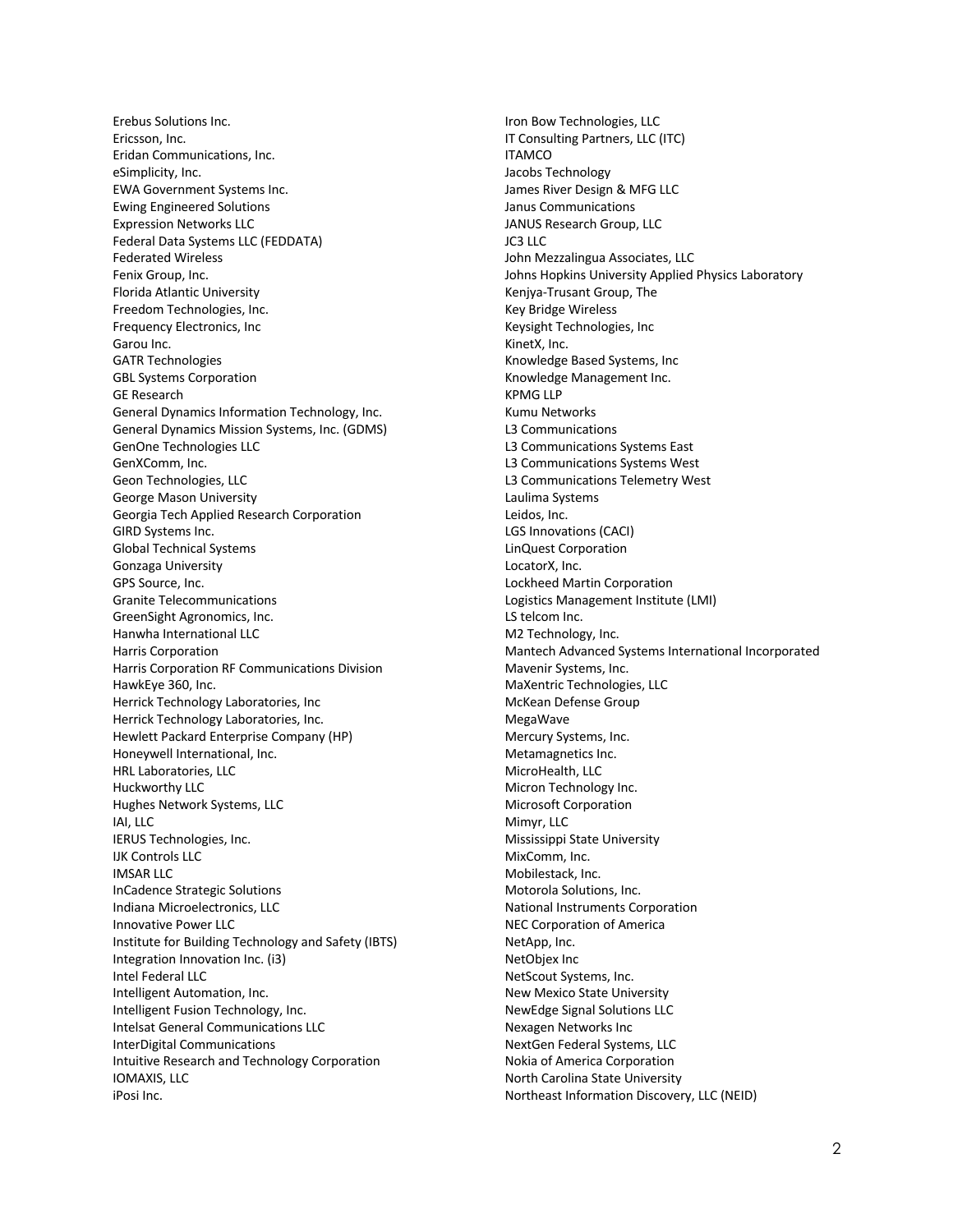Erebus Solutions Inc. Ericsson, Inc. Eridan Communications, Inc. eSimplicity, Inc. EWA Government Systems Inc. Ewing Engineered Solutions Expression Networks LLC Federal Data Systems LLC (FEDDATA) Federated Wireless Fenix Group, Inc. Florida Atlantic University Freedom Technologies, Inc. Frequency Electronics, Inc Garou Inc. GATR Technologies GBL Systems Corporation GE Research General Dynamics Information Technology, Inc. General Dynamics Mission Systems, Inc. (GDMS) GenOne Technologies LLC GenXComm, Inc. Geon Technologies, LLC George Mason University Georgia Tech Applied Research Corporation GIRD Systems Inc. Global Technical Systems Gonzaga University GPS Source, Inc. Granite Telecommunications GreenSight Agronomics, Inc. Hanwha International LLC Harris Corporation Harris Corporation RF Communications Division HawkEye 360, Inc. Herrick Technology Laboratories, Inc Herrick Technology Laboratories, Inc. Hewlett Packard Enterprise Company (HP) Honeywell International, Inc. HRL Laboratories, LLC Huckworthy LLC Hughes Network Systems, LLC IAI, LLC IERUS Technologies, Inc. IJK Controls LLC IMSAR LLC InCadence Strategic Solutions Indiana Microelectronics, LLC Innovative Power LLC Institute for Building Technology and Safety (IBTS) Integration Innovation Inc. (i3) Intel Federal LLC Intelligent Automation, Inc. Intelligent Fusion Technology, Inc. Intelsat General Communications LLC InterDigital Communications Intuitive Research and Technology Corporation IOMAXIS, LLC iPosi Inc.

Iron Bow Technologies, LLC IT Consulting Partners, LLC (ITC) **ITAMCO** Jacobs Technology James River Design & MFG LLC Janus Communications JANUS Research Group, LLC JC3 LLC John Mezzalingua Associates, LLC Johns Hopkins University Applied Physics Laboratory Kenjya-Trusant Group, The Key Bridge Wireless Keysight Technologies, Inc KinetX, Inc. Knowledge Based Systems, Inc Knowledge Management Inc. KPMG LLP Kumu Networks L3 Communications L3 Communications Systems East L3 Communications Systems West L3 Communications Telemetry West Laulima Systems Leidos, Inc. LGS Innovations (CACI) LinQuest Corporation LocatorX, Inc. Lockheed Martin Corporation Logistics Management Institute (LMI) LS telcom Inc. M2 Technology, Inc. Mantech Advanced Systems International Incorporated Mavenir Systems, Inc. MaXentric Technologies, LLC McKean Defense Group MegaWave Mercury Systems, Inc. Metamagnetics Inc. MicroHealth, LLC Micron Technology Inc. Microsoft Corporation Mimyr, LLC Mississippi State University MixComm, Inc. Mobilestack, Inc. Motorola Solutions, Inc. National Instruments Corporation NEC Corporation of America NetApp, Inc. NetObjex Inc NetScout Systems, Inc. New Mexico State University NewEdge Signal Solutions LLC Nexagen Networks Inc NextGen Federal Systems, LLC Nokia of America Corporation North Carolina State University Northeast Information Discovery, LLC (NEID)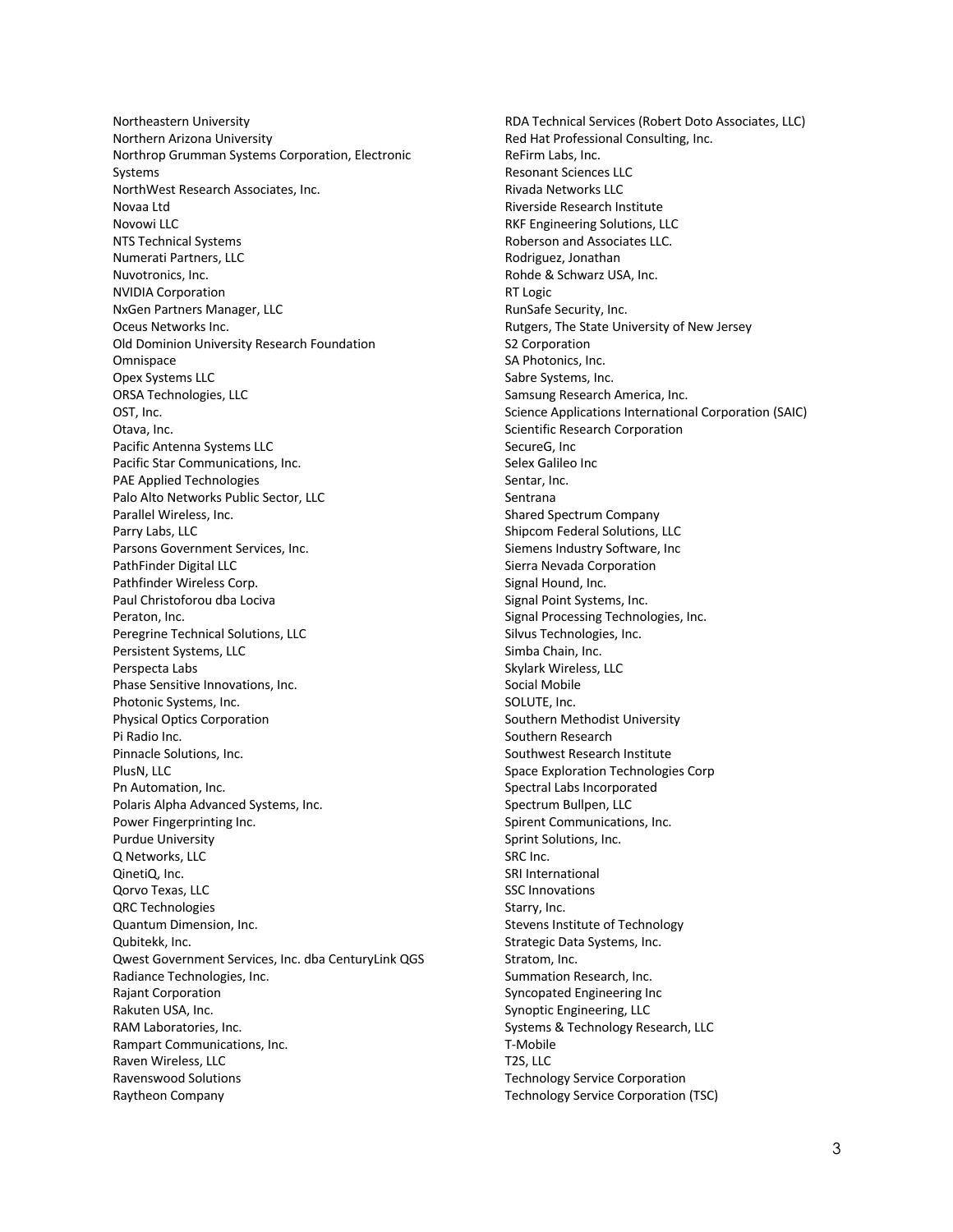Northeastern University Northern Arizona University Northrop Grumman Systems Corporation, Electronic Systems NorthWest Research Associates, Inc. Novaa Ltd Novowi LLC NTS Technical Systems Numerati Partners, LLC Nuvotronics, Inc. NVIDIA Corporation NxGen Partners Manager, LLC Oceus Networks Inc. Old Dominion University Research Foundation **Omnispace** Opex Systems LLC ORSA Technologies, LLC OST, Inc. Otava, Inc. Pacific Antenna Systems LLC Pacific Star Communications, Inc. PAE Applied Technologies Palo Alto Networks Public Sector, LLC Parallel Wireless, Inc. Parry Labs, LLC Parsons Government Services, Inc. PathFinder Digital LLC Pathfinder Wireless Corp. Paul Christoforou dba Lociva Peraton, Inc. Peregrine Technical Solutions, LLC Persistent Systems, LLC Perspecta Labs Phase Sensitive Innovations, Inc. Photonic Systems, Inc. Physical Optics Corporation Pi Radio Inc. Pinnacle Solutions, Inc. PlusN, LLC Pn Automation, Inc. Polaris Alpha Advanced Systems, Inc. Power Fingerprinting Inc. Purdue University Q Networks, LLC QinetiQ, Inc. Qorvo Texas, LLC QRC Technologies Quantum Dimension, Inc. Qubitekk, Inc. Qwest Government Services, Inc. dba CenturyLink QGS Radiance Technologies, Inc. Rajant Corporation Rakuten USA, Inc. RAM Laboratories, Inc. Rampart Communications, Inc. Raven Wireless, LLC Ravenswood Solutions Raytheon Company

RDA Technical Services (Robert Doto Associates, LLC) Red Hat Professional Consulting, Inc. ReFirm Labs, Inc. Resonant Sciences LLC Rivada Networks LLC Riverside Research Institute RKF Engineering Solutions, LLC Roberson and Associates LLC. Rodriguez, Jonathan Rohde & Schwarz USA, Inc. RT Logic RunSafe Security, Inc. Rutgers, The State University of New Jersey S2 Corporation SA Photonics, Inc. Sabre Systems, Inc. Samsung Research America, Inc. Science Applications International Corporation (SAIC) Scientific Research Corporation SecureG, Inc Selex Galileo Inc Sentar, Inc. Sentrana Shared Spectrum Company Shipcom Federal Solutions, LLC Siemens Industry Software, Inc Sierra Nevada Corporation Signal Hound, Inc. Signal Point Systems, Inc. Signal Processing Technologies, Inc. Silvus Technologies, Inc. Simba Chain, Inc. Skylark Wireless, LLC Social Mobile SOLUTE, Inc. Southern Methodist University Southern Research Southwest Research Institute Space Exploration Technologies Corp Spectral Labs Incorporated Spectrum Bullpen, LLC Spirent Communications, Inc. Sprint Solutions, Inc. SRC Inc. SRI International SSC Innovations Starry, Inc. Stevens Institute of Technology Strategic Data Systems, Inc. Stratom, Inc. Summation Research, Inc. Syncopated Engineering Inc Synoptic Engineering, LLC Systems & Technology Research, LLC T-Mobile T2S, LLC Technology Service Corporation Technology Service Corporation (TSC)